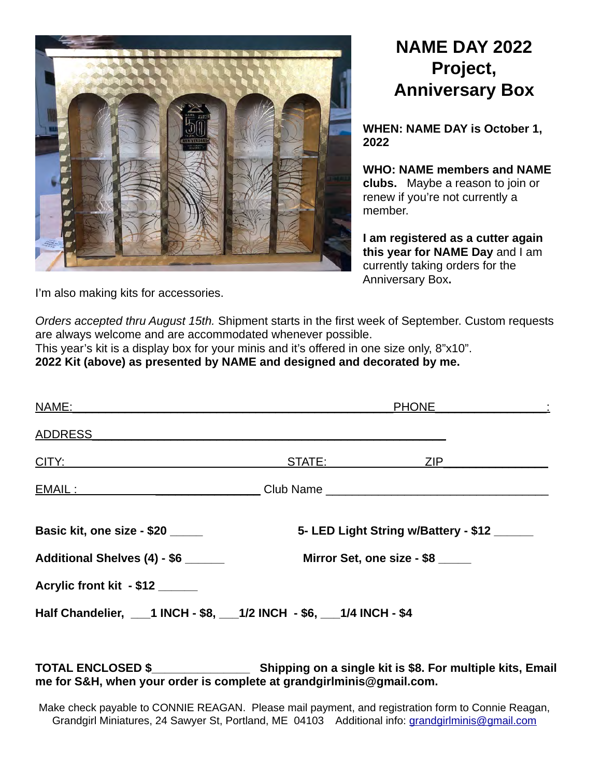

## **NAME DAY 2022 Project, Anniversary Box**

**WHEN: NAME DAY is October 1, 2022**

**WHO: NAME members and NAME clubs.** Maybe a reason to join or renew if you're not currently a member.

**I am registered as a cutter again this year for NAME Day** and I am currently taking orders for the Anniversary Box**.**

I'm also making kits for accessories.

*Orders accepted thru August 15th.* Shipment starts in the first week of September. Custom requests are always welcome and are accommodated whenever possible.

This year's kit is a display box for your minis and it's offered in one size only, 8"x10". **2022 Kit (above) as presented by NAME and designed and decorated by me.**

| <u>NAME:</u>                                                                                                                                                                                                                         |                                      |                            |  |
|--------------------------------------------------------------------------------------------------------------------------------------------------------------------------------------------------------------------------------------|--------------------------------------|----------------------------|--|
| <b>ADDRESS</b>                                                                                                                                                                                                                       |                                      |                            |  |
| <u>CITY: Expression and the contract of the contract of the contract of the contract of the contract of the contract of the contract of the contract of the contract of the contract of the contract of the contract of the cont</u> |                                      | STATE: ZIP                 |  |
| EMAIL: ___________________________________Club Name _____________________________                                                                                                                                                    |                                      |                            |  |
| Basic kit, one size - \$20                                                                                                                                                                                                           | 5- LED Light String w/Battery - \$12 |                            |  |
|                                                                                                                                                                                                                                      |                                      |                            |  |
| Additional Shelves (4) - \$6 _____                                                                                                                                                                                                   |                                      | Mirror Set, one size - \$8 |  |
| Acrylic front kit - \$12 ____                                                                                                                                                                                                        |                                      |                            |  |

**TOTAL ENCLOSED \$\_\_\_\_\_\_\_\_\_\_\_\_\_\_\_ Shipping on a single kit is \$8. For multiple kits, Email me for S&H, when your order is complete at grandgirlminis@gmail.com.**

Make check payable to CONNIE REAGAN. Please mail payment, and registration form to Connie Reagan, Grandgirl Miniatures, 24 Sawyer St, Portland, ME 04103 Additional info: [grandgirlminis@gmail.com](mailto:grandgirlminis@gmail.com)